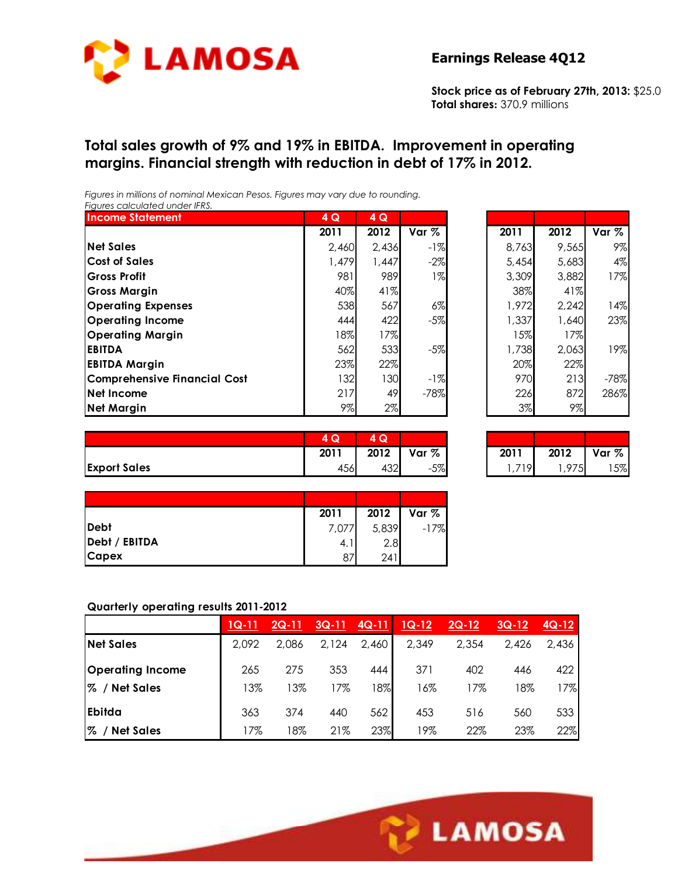

**Stock price as of February 27th, 2013:** \$25.0 **Total shares:** 370.9 millions

# **Total sales growth of 9% and 19% in EBITDA. Improvement in operating margins. Financial strength with reduction in debt of 17% in 2012.**

*Figures in millions of nominal Mexican Pesos. Figures may vary due to rounding. Figures calculated under IFRS.* 

| <b>Income Statement</b>             | 4Q    | 4Q    |        |       |       |        |
|-------------------------------------|-------|-------|--------|-------|-------|--------|
|                                     | 2011  | 2012  | Var %  | 2011  | 2012  | Var %  |
| <b>Net Sales</b>                    | 2.460 | 2,436 | $-1%$  | 8,763 | 9,565 | 9%     |
| <b>Cost of Sales</b>                | 1,479 | 1,447 | $-2\%$ | 5,454 | 5,683 | 4%     |
| <b>Gross Profit</b>                 | 981   | 989   | 1%     | 3,309 | 3,882 | 17%    |
| <b>Gross Margin</b>                 | 40%   | 41%   |        | 38%   | 41%   |        |
| <b>Operating Expenses</b>           | 538   | 567   | $6\%$  | 1,972 | 2,242 | 14%    |
| <b>Operating Income</b>             | 444   | 422   | $-5%$  | 1,337 | 1,640 | 23%    |
| <b>Operating Margin</b>             | 18%   | 17%   |        | 15%   | 17%   |        |
| <b>EBITDA</b>                       | 562   | 533   | $-5%$  | 1,738 | 2,063 | 19%    |
| <b>EBITDA Margin</b>                | 23%   | 22%   |        | 20%   | 22%   |        |
| <b>Comprehensive Financial Cost</b> | 132   | 130   | $-1%$  | 970   | 213   | $-78%$ |
| Net Income                          | 217   | 49    | $-78%$ | 226   | 872   | 286%   |
| <b>Net Margin</b>                   | 9%    | 2%    |        | 3%    | $9\%$ |        |

| 4Q    | 4 Q   |        |       |       |        |
|-------|-------|--------|-------|-------|--------|
| 2011  | 2012  | Var %  | 2011  | 2012  | Var %  |
| 2,460 | 2,436 | -1%    | 8,763 | 9,565 | 9%     |
| 1,479 | 1,447 | $-2\%$ | 5,454 | 5,683 | 4%     |
| 981   | 989   | $1\%$  | 3,309 | 3,882 | 17%    |
| 40%   | 41%   |        | 38%   | 41%   |        |
| 538   | 567   | $6\%$  | 1,972 | 2,242 | 14%    |
| 444   | 422   | $-5%$  | 1,337 | 1,640 | 23%    |
| 18%   | 17%   |        | 15%   | 17%   |        |
| 562   | 533   | $-5%$  | 1,738 | 2,063 | 19%    |
| 23%   | 22%   |        | 20%   | 22%   |        |
| 132   | 130   | -1%    | 970   | 213   | $-78%$ |
| 217   | 49    | $-78%$ | 226   | 872   | 286%   |
| 9%    | 2%    |        | 3%    | 9%    |        |

|                     | $\sim$<br>ש | $\sim$<br>Q |          |      |      |       |
|---------------------|-------------|-------------|----------|------|------|-------|
|                     | 2011        | 2012        | %<br>Var | 2011 | 2012 | Var % |
| <b>Export Sales</b> | 456         | 432         | $-5%$    | 719  | .975 | 5%    |

| 4Q   | 74 Q. |              |       |      |         |
|------|-------|--------------|-------|------|---------|
| 2011 |       | 2012   Var % | 2011  | 2012 | Var $%$ |
| 456  | 432   | $-5%$        | 1.719 | .975 | 15%     |

|               | 2011  | 2012  | Var %  |
|---------------|-------|-------|--------|
| Debt          | 7,077 | 5,839 | $-17%$ |
| Debt / EBITDA | 4. I  | 2.8   |        |
| <b>Capex</b>  | 87    | 241   |        |

#### **Quarterly operating results 2011-2012**

|                         | $1Q-11$ | $2Q-11$ | $3Q-11$ | $4Q-11$ | $1Q-12$ | $2Q-12$ | $3Q-12$ | $4Q-12$ |
|-------------------------|---------|---------|---------|---------|---------|---------|---------|---------|
| <b>Net Sales</b>        | 2,092   | 2,086   | 2,124   | 2,460   | 2,349   | 2,354   | 2,426   | 2,436   |
| <b>Operating Income</b> | 265     | 275     | 353     | 444     | 371     | 402     | 446     | 422     |
| %<br>/ Net Sales        | 13%     | 13%     | 7%      | 18%     | 16%     | 17%     | 18%     | 17%     |
| <b>Ebitda</b>           | 363     | 374     | 440     | 562     | 453     | 516     | 560     | 533     |
| %<br><b>Net Sales</b>   | 17%     | 18%     | 21%     | 23%     | 19%     | 22%     | 23%     | 22%     |

Ī

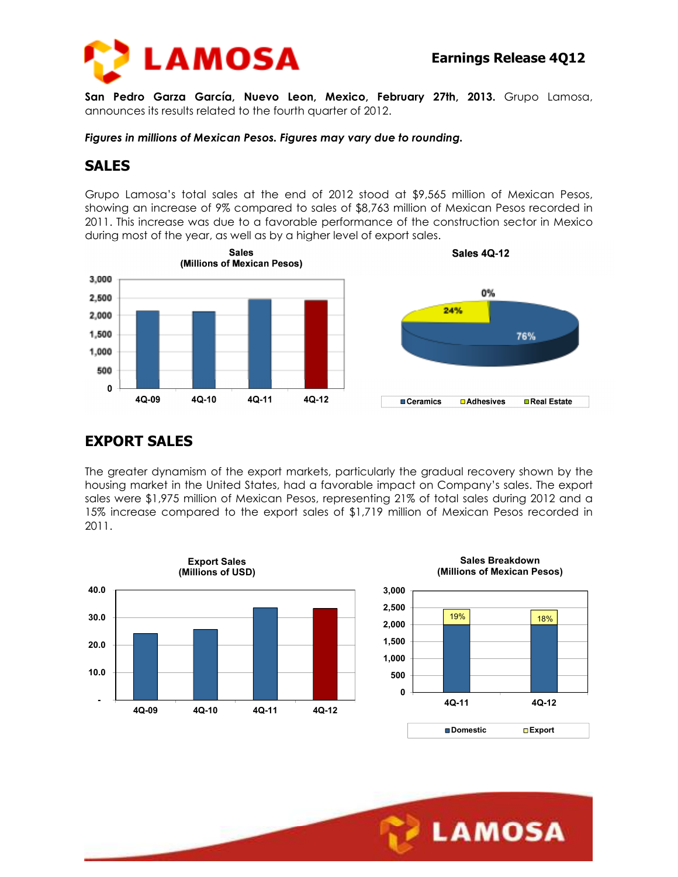

**San Pedro Garza García, Nuevo Leon, Mexico, February 27th, 2013.** Grupo Lamosa, announces its results related to the fourth quarter of 2012.

*Figures in millions of Mexican Pesos. Figures may vary due to rounding.* 

# **SALES**

Grupo Lamosa's total sales at the end of 2012 stood at \$9,565 million of Mexican Pesos, showing an increase of 9% compared to sales of \$8,763 million of Mexican Pesos recorded in 2011. This increase was due to a favorable performance of the construction sector in Mexico during most of the year, as well as by a higher level of export sales.



# **EXPORT SALES**

The greater dynamism of the export markets, particularly the gradual recovery shown by the housing market in the United States, had a favorable impact on Company's sales. The export sales were \$1,975 million of Mexican Pesos, representing 21% of total sales during 2012 and a 15% increase compared to the export sales of \$1,719 million of Mexican Pesos recorded in 2011.

Ī







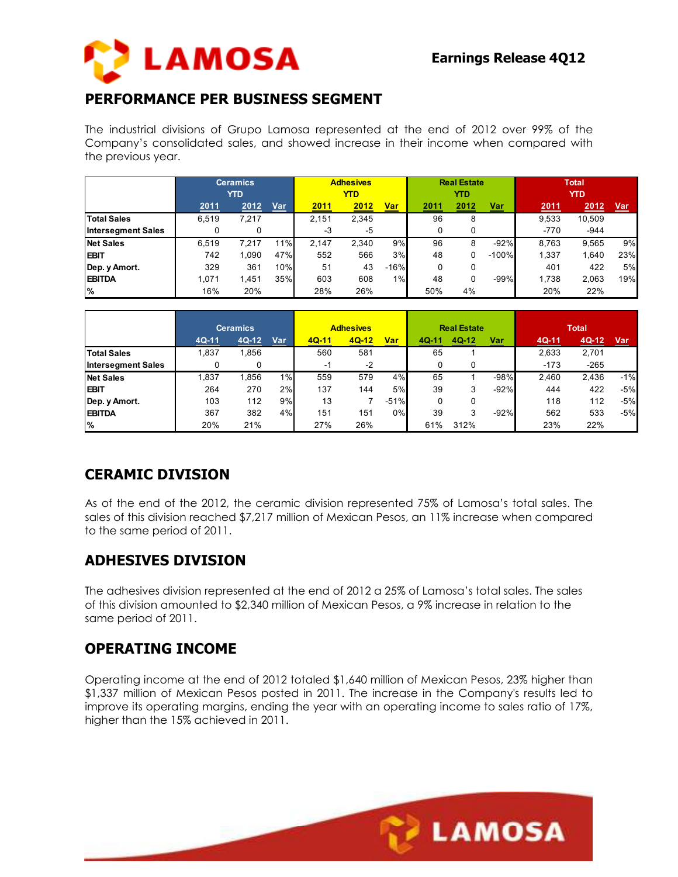

# **PERFORMANCE PER BUSINESS SEGMENT**

The industrial divisions of Grupo Lamosa represented at the end of 2012 over 99% of the Company's consolidated sales, and showed increase in their income when compared with the previous year.

|                           | <b>Ceramics</b><br><b>YTD</b> |       | <b>Adhesives</b><br>YTD |               |       | <b>Real Estate</b><br>YTD |      |      | <b>Total</b><br><b>YTD</b> |             |        |     |
|---------------------------|-------------------------------|-------|-------------------------|---------------|-------|---------------------------|------|------|----------------------------|-------------|--------|-----|
|                           | 2011                          | 2012  | Var                     | <u> 2011 </u> | 2012  | <b>Var</b>                | 2011 | 2012 | <u>Var</u>                 | <u>2011</u> | 2012   | Var |
| <b>Total Sales</b>        | 6.519                         | 7.217 |                         | 2.151         | 2.345 |                           | 96   | 8    |                            | 9.533       | 10.509 |     |
| <b>Intersegment Sales</b> |                               |       |                         | -3            | $-5$  |                           | 0    | 0    |                            | $-770$      | $-944$ |     |
| <b>Net Sales</b>          | 6.519                         | 7.217 | 11%                     | 2.147         | 2.340 | 9%                        | 96   | 8    | $-92%$                     | 8.763       | 9,565  | 9%  |
| <b>EBIT</b>               | 742                           | 1.090 | 47%                     | 552           | 566   | 3%                        | 48   | 0    | $-100%$                    | 1,337       | 1,640  | 23% |
| Dep. y Amort.             | 329                           | 361   | 10%                     | 51            | 43    | $-16%$                    | 0    | 0    |                            | 401         | 422    | 5%  |
| <b>EBITDA</b>             | 1,071                         | 1.451 | 35%                     | 603           | 608   | 1%                        | 48   | 0    | $-99%$                     | 1.738       | 2,063  | 19% |
| %                         | 16%                           | 20%   |                         | 28%           | 26%   |                           | 50%  | 4%   |                            | 20%         | 22%    |     |

|                           |       | <b>Ceramics</b> |     | <b>Adhesives</b> |         |        | <b>Real Estate</b> |       |            | <b>Total</b> |        |            |
|---------------------------|-------|-----------------|-----|------------------|---------|--------|--------------------|-------|------------|--------------|--------|------------|
|                           | 4Q-11 | 4Q-12           | Var | $4Q-11$          | $4Q-12$ | Var    | 4Q-11              | 4Q-12 | <u>Var</u> | 4Q-11        | 4Q-12  | <u>Var</u> |
| <b>Total Sales</b>        | .837  | 1,856           |     | 560              | 581     |        | 65                 |       |            | 2,633        | 2,701  |            |
| <b>Intersegment Sales</b> | 0     |                 |     | -1               | $-2$    |        |                    |       |            | $-173$       | $-265$ |            |
| <b>Net Sales</b>          | ,837  | 1.856           | 1%  | 559              | 579     | 4%     | 65                 |       | $-98%$     | 2.460        | 2.436  | $-1%$      |
| <b>EBIT</b>               | 264   | 270             | 2%  | 137              | 144     | 5%     | 39                 | 3     | $-92%$     | 444          | 422    | $-5%$      |
| Dep. y Amort.             | 103   | 112             | 9%  | 13               |         | $-51%$ | 0                  | 0     |            | 118          | 112    | $-5%$      |
| <b>EBITDA</b>             | 367   | 382             | 4%  | 151              | 151     | 0%     | 39                 | 3     | $-92%$     | 562          | 533    | $-5%$      |
| %                         | 20%   | 21%             |     | 27%              | 26%     |        | 61%                | 312%  |            | 23%          | 22%    |            |

# **CERAMIC DIVISION**

As of the end of the 2012, the ceramic division represented 75% of Lamosa's total sales. The sales of this division reached \$7,217 million of Mexican Pesos, an 11% increase when compared to the same period of 2011.

### **ADHESIVES DIVISION**

The adhesives division represented at the end of 2012 a 25% of Lamosa's total sales. The sales of this division amounted to \$2,340 million of Mexican Pesos, a 9% increase in relation to the same period of 2011.

### **OPERATING INCOME**

Operating income at the end of 2012 totaled \$1,640 million of Mexican Pesos, 23% higher than \$1,337 million of Mexican Pesos posted in 2011. The increase in the Company's results led to improve its operating margins, ending the year with an operating income to sales ratio of 17%, higher than the 15% achieved in 2011.

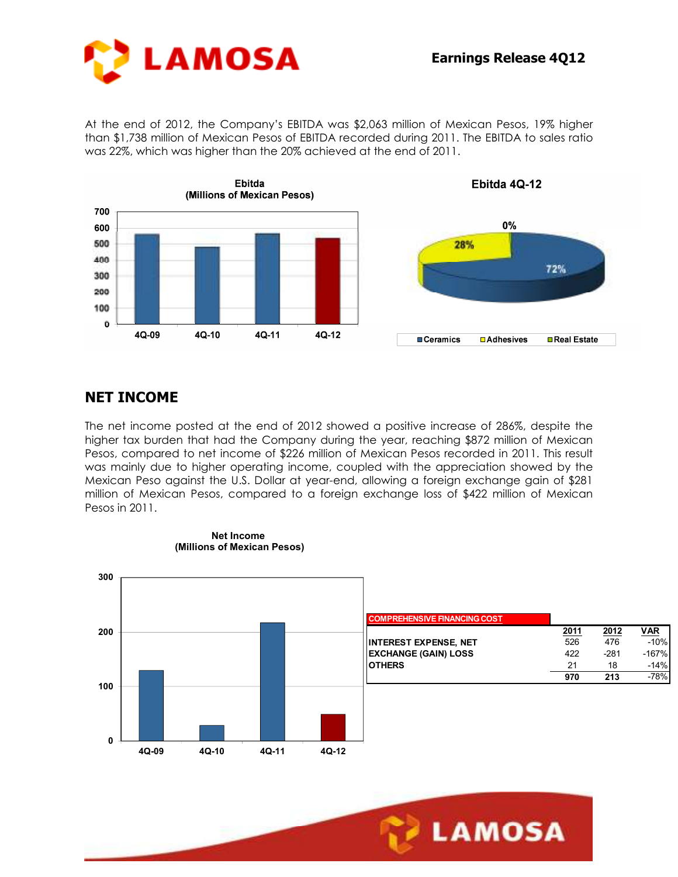

At the end of 2012, the Company's EBITDA was \$2,063 million of Mexican Pesos, 19% higher than \$1,738 million of Mexican Pesos of EBITDA recorded during 2011. The EBITDA to sales ratio was 22%, which was higher than the 20% achieved at the end of 2011.



# **NET INCOME**

The net income posted at the end of 2012 showed a positive increase of 286%, despite the higher tax burden that had the Company during the year, reaching \$872 million of Mexican Pesos, compared to net income of \$226 million of Mexican Pesos recorded in 2011. This result was mainly due to higher operating income, coupled with the appreciation showed by the Mexican Peso against the U.S. Dollar at year-end, allowing a foreign exchange gain of \$281 million of Mexican Pesos, compared to a foreign exchange loss of \$422 million of Mexican Pesos in 2011.

Ī



LAMOSA